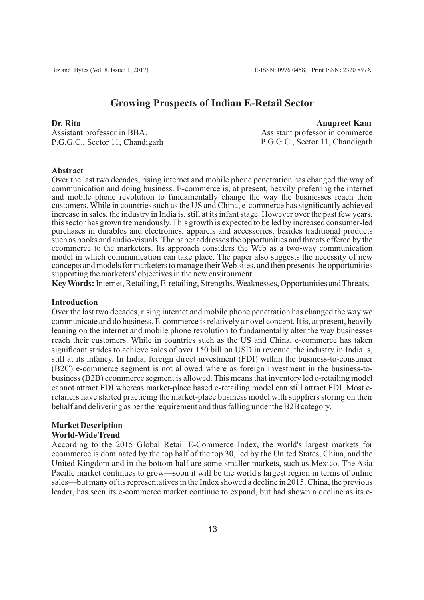## **Growing Prospects of Indian E-Retail Sector**

#### **Dr. Rita**

Assistant professor in BBA. P.G.G.C., Sector 11, Chandigarh

**Anupreet Kaur** Assistant professor in commerce P.G.G.C., Sector 11, Chandigarh

#### **Abstract**

Over the last two decades, rising internet and mobile phone penetration has changed the way of communication and doing business. E-commerce is, at present, heavily preferring the internet and mobile phone revolution to fundamentally change the way the businesses reach their customers. While in countries such as the US and China, e-commerce has significantly achieved increase in sales, the industry in India is, still at its infant stage. However over the past few years, this sector has grown tremendously. This growth is expected to be led by increased consumer-led purchases in durables and electronics, apparels and accessories, besides traditional products such as books and audio-visuals. The paper addresses the opportunities and threats offered by the ecommerce to the marketers. Its approach considers the Web as a two-way communication model in which communication can take place. The paper also suggests the necessity of new concepts and models for marketers to manage their Web sites, and then presents the opportunities supporting the marketers' objectives in the new environment.

**Key Words:**Internet, Retailing, E-retailing, Strengths, Weaknesses, Opportunities and Threats.

#### **Introduction**

Over the last two decades, rising internet and mobile phone penetration has changed the way we communicate and do business. E-commerce is relatively a novel concept. It is, at present, heavily leaning on the internet and mobile phone revolution to fundamentally alter the way businesses reach their customers. While in countries such as the US and China, e-commerce has taken significant strides to achieve sales of over 150 billion USD in revenue, the industry in India is, still at its infancy. In India, foreign direct investment (FDI) within the business-to-consumer (B2C) e-commerce segment is not allowed where as foreign investment in the business-tobusiness (B2B) ecommerce segment is allowed. This means that inventory led e-retailing model cannot attract FDI whereas market-place based e-retailing model can still attract FDI. Most eretailers have started practicing the market-place business model with suppliers storing on their behalf and delivering as per the requirement and thus falling under the B2B category.

# **Market Description**

## **World-Wide Trend**

According to the 2015 Global Retail E-Commerce Index, the world's largest markets for ecommerce is dominated by the top half of the top 30, led by the United States, China, and the United Kingdom and in the bottom half are some smaller markets, such as Mexico. The Asia Pacific market continues to grow—soon it will be the world's largest region in terms of online sales—but many of its representatives in the Index showed a decline in 2015. China, the previous leader, has seen its e-commerce market continue to expand, but had shown a decline as its e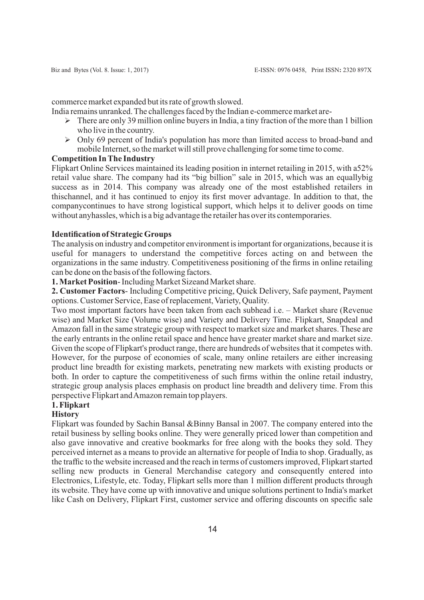commerce market expanded but its rate of growth slowed.

- India remains unranked. The challenges faced by the Indian e-commerce market are-
	- $\triangleright$  There are only 39 million online buyers in India, a tiny fraction of the more than 1 billion who live in the country.
	- $\triangleright$  Only 69 percent of India's population has more than limited access to broad-band and mobile Internet, so the market will still prove challenging for some time to come.

#### **Competition In The Industry**

Flipkart Online Services maintained its leading position in internet retailing in 2015, with a52% retail value share. The company had its "big billion" sale in 2015, which was an equallybig success as in 2014. This company was already one of the most established retailers in thischannel, and it has continued to enjoy its first mover advantage. In addition to that, the companycontinues to have strong logistical support, which helps it to deliver goods on time without anyhassles, which is a big advantage the retailer has over its contemporaries.

#### **Identification of Strategic Groups**

The analysis on industry and competitor environment is important for organizations, because it is useful for managers to understand the competitive forces acting on and between the organizations in the same industry. Competitiveness positioning of the firms in online retailing can be done on the basis of the following factors.

**1. Market Position**- Including Market Sizeand Market share.

**2. Customer Factors**- Including Competitive pricing, Quick Delivery, Safe payment, Payment options. Customer Service, Ease of replacement, Variety, Quality.

Two most important factors have been taken from each subhead i.e. – Market share (Revenue wise) and Market Size (Volume wise) and Variety and Delivery Time. Flipkart, Snapdeal and Amazon fall in the same strategic group with respect to market size and market shares. These are the early entrants in the online retail space and hence have greater market share and market size. Given the scope of Flipkart's product range, there are hundreds of websites that it competes with. However, for the purpose of economies of scale, many online retailers are either increasing product line breadth for existing markets, penetrating new markets with existing products or both. In order to capture the competitiveness of such firms within the online retail industry, strategic group analysis places emphasis on product line breadth and delivery time. From this perspective Flipkart and Amazon remain top players.

# **1. Flipkart**

### **History**

Flipkart was founded by Sachin Bansal &Binny Bansal in 2007. The company entered into the retail business by selling books online. They were generally priced lower than competition and also gave innovative and creative bookmarks for free along with the books they sold. They perceived internet as a means to provide an alternative for people of India to shop. Gradually, as the traffic to the website increased and the reach in terms of customers improved, Flipkart started selling new products in General Merchandise category and consequently entered into Electronics, Lifestyle, etc. Today, Flipkart sells more than 1 million different products through its website. They have come up with innovative and unique solutions pertinent to India's market like Cash on Delivery, Flipkart First, customer service and offering discounts on specific sale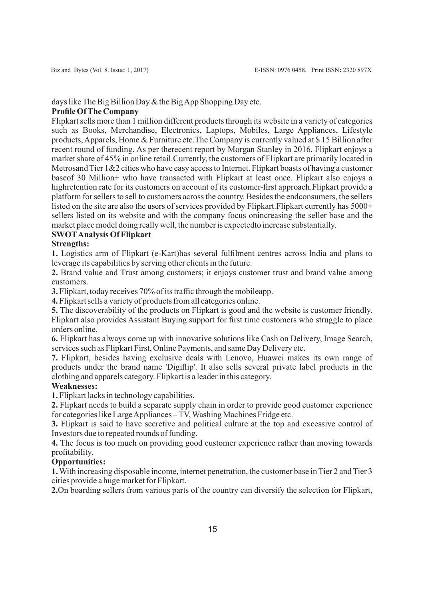### days like The Big Billion Day & the Big App Shopping Day etc.

### **Profile Of The Company**

Flipkart sells more than 1 million different products through its website in a variety of categories such as Books, Merchandise, Electronics, Laptops, Mobiles, Large Appliances, Lifestyle products, Apparels, Home & Furniture etc.The Company is currently valued at \$ 15 Billion after recent round of funding. As per therecent report by Morgan Stanley in 2016, Flipkart enjoys a market share of 45% in online retail.Currently, the customers of Flipkart are primarily located in Metrosand Tier 1&2 cities who have easy access to Internet. Flipkart boasts of having a customer baseof 30 Million+ who have transacted with Flipkart at least once. Flipkart also enjoys a highretention rate for its customers on account of its customer-first approach.Flipkart provide a platform for sellers to sell to customers across the country. Besides the endconsumers, the sellers listed on the site are also the users of services provided by Flipkart.Flipkart currently has 5000+ sellers listed on its website and with the company focus onincreasing the seller base and the market place model doing really well, the number is expectedto increase substantially.

## **SWOTAnalysis Of Flipkart**

### **Strengths:**

**1.** Logistics arm of Flipkart (e-Kart)has several fulfilment centres across India and plans to leverage its capabilities by serving other clients in the future.

**2.** Brand value and Trust among customers; it enjoys customer trust and brand value among customers.

**3.** Flipkart, today receives 70% of its traffic through the mobileapp.

**4.** Flipkart sells a variety of products from all categories online.

**5.** The discoverability of the products on Flipkart is good and the website is customer friendly. Flipkart also provides Assistant Buying support for first time customers who struggle to place orders online.

**6.** Flipkart has always come up with innovative solutions like Cash on Delivery, Image Search, services such as Flipkart First, Online Payments, and same Day Delivery etc.

**7.** Flipkart, besides having exclusive deals with Lenovo, Huawei makes its own range of products under the brand name 'Digiflip'. It also sells several private label products in the clothing and apparels category. Flipkart is a leader in this category.

### **Weaknesses:**

**1.** Flipkart lacks in technology capabilities.

**2.** Flipkart needs to build a separate supply chain in order to provide good customer experience for categories like Large Appliances – TV, Washing Machines Fridge etc.

**3.** Flipkart is said to have secretive and political culture at the top and excessive control of Investors due to repeated rounds of funding.

**4.** The focus is too much on providing good customer experience rather than moving towards profitability.

### **Opportunities:**

**1.**With increasing disposable income, internet penetration, the customer base in Tier 2 and Tier 3 cities provide a huge market for Flipkart.

**2.**On boarding sellers from various parts of the country can diversify the selection for Flipkart,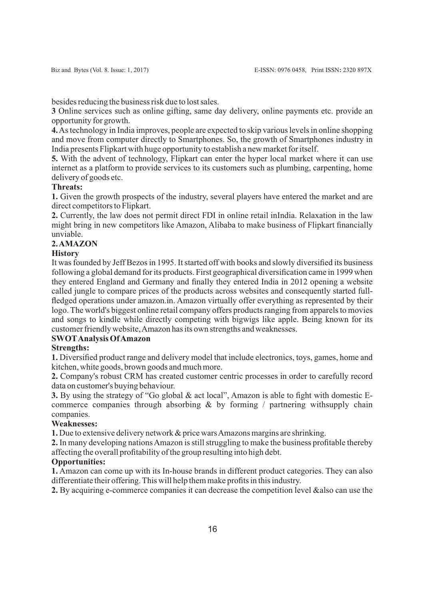besides reducing the business risk due to lost sales.

**3** Online services such as online gifting, same day delivery, online payments etc. provide an opportunity for growth.

**4.**As technology in India improves, people are expected to skip various levels in online shopping and move from computer directly to Smartphones. So, the growth of Smartphones industry in India presents Flipkart with huge opportunity to establish a new market for itself.

**5.** With the advent of technology, Flipkart can enter the hyper local market where it can use internet as a platform to provide services to its customers such as plumbing, carpenting, home delivery of goods etc.

### **Threats:**

**1.** Given the growth prospects of the industry, several players have entered the market and are direct competitors to Flipkart.

**2.** Currently, the law does not permit direct FDI in online retail inIndia. Relaxation in the law might bring in new competitors like Amazon, Alibaba to make business of Flipkart financially unviable.

## **2. AMAZON**

## **History**

It was founded by Jeff Bezos in 1995. It started off with books and slowly diversified its business following a global demand for its products. First geographical diversification came in 1999 when they entered England and Germany and finally they entered India in 2012 opening a website called jungle to compare prices of the products across websites and consequently started fullfledged operations under amazon.in. Amazon virtually offer everything as represented by their logo. The world's biggest online retail company offers products ranging from apparels to movies and songs to kindle while directly competing with bigwigs like apple. Being known for its customer friendly website, Amazon has its own strengths and weaknesses.

## **SWOTAnalysis Of Amazon**

## **Strengths:**

**1.** Diversified product range and delivery model that include electronics, toys, games, home and kitchen, white goods, brown goods and much more.

**2.** Company's robust CRM has created customer centric processes in order to carefully record data on customer's buying behaviour.

**3.** By using the strategy of "Go global & act local", Amazon is able to fight with domestic Ecommerce companies through absorbing & by forming / partnering withsupply chain companies.

### **Weaknesses:**

**1.** Due to extensive delivery network & price wars Amazons margins are shrinking.

**2.** In many developing nations Amazon is still struggling to make the business profitable thereby affecting the overall profitability of the group resulting into high debt.

### **Opportunities:**

**1.** Amazon can come up with its In-house brands in different product categories. They can also differentiate their offering. This will help them make profits in this industry.

**2.** By acquiring e-commerce companies it can decrease the competition level &also can use the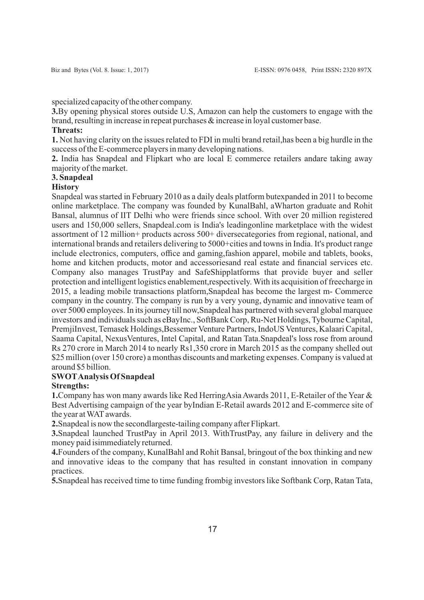specialized capacity of the other company.

**3.**By opening physical stores outside U.S, Amazon can help the customers to engage with the brand, resulting in increase in repeat purchases & increase in loyal customer base.

#### **Threats:**

**1.** Not having clarity on the issues related to FDI in multi brand retail,has been a big hurdle in the success of the E-commerce players in many developing nations.

**2.** India has Snapdeal and Flipkart who are local E commerce retailers andare taking away majority of the market.

### **3. Snapdeal**

#### **History**

Snapdeal was started in February 2010 as a daily deals platform butexpanded in 2011 to become online marketplace. The company was founded by KunalBahl, aWharton graduate and Rohit Bansal, alumnus of IIT Delhi who were friends since school. With over 20 million registered users and 150,000 sellers, Snapdeal.com is India's leadingonline marketplace with the widest assortment of 12 million+ products across 500+ diversecategories from regional, national, and international brands and retailers delivering to 5000+cities and towns in India. It's product range include electronics, computers, office and gaming,fashion apparel, mobile and tablets, books, home and kitchen products, motor and accessoriesand real estate and financial services etc. Company also manages TrustPay and SafeShipplatforms that provide buyer and seller protection and intelligent logistics enablement,respectively. With its acquisition of freecharge in 2015, a leading mobile transactions platform,Snapdeal has become the largest m- Commerce company in the country. The company is run by a very young, dynamic and innovative team of over 5000 employees. In its journey till now,Snapdeal has partnered with several global marquee investors and individuals such as eBayInc., SoftBank Corp, Ru-Net Holdings, Tybourne Capital, PremjiInvest, Temasek Holdings,Bessemer Venture Partners, IndoUS Ventures, Kalaari Capital, Saama Capital, NexusVentures, Intel Capital, and Ratan Tata.Snapdeal's loss rose from around Rs 270 crore in March 2014 to nearly Rs1,350 crore in March 2015 as the company shelled out \$25 million (over 150 crore) a monthas discounts and marketing expenses. Company is valued at around \$5 billion.

## **SWOTAnalysis Of Snapdeal**

### **Strengths:**

**1.**Company has won many awards like Red HerringAsia Awards 2011, E-Retailer of the Year & Best Advertising campaign of the year byIndian E-Retail awards 2012 and E-commerce site of the year at WAT awards.

**2.**Snapdeal is now the secondlargeste-tailing company after Flipkart.

**3.**Snapdeal launched TrustPay in April 2013. WithTrustPay, any failure in delivery and the money paid isimmediately returned.

**4.**Founders of the company, KunalBahl and Rohit Bansal, bringout of the box thinking and new and innovative ideas to the company that has resulted in constant innovation in company practices.

**5.**Snapdeal has received time to time funding frombig investors like Softbank Corp, Ratan Tata,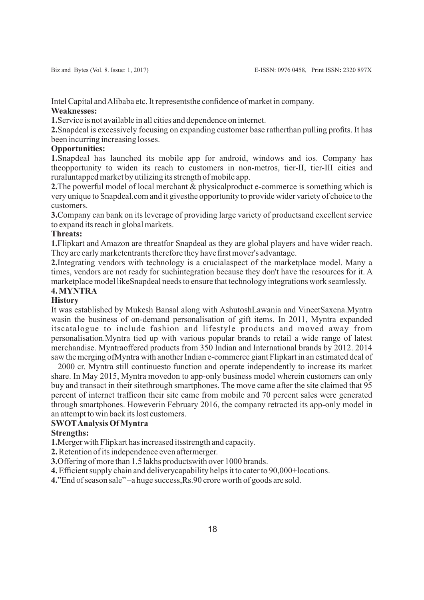Intel Capital and Alibaba etc. It representsthe confidence of market in company. **Weaknesses:**

**1.**Service is not available in all cities and dependence on internet.

**2.**Snapdeal is excessively focusing on expanding customer base ratherthan pulling profits. It has been incurring increasing losses.

### **Opportunities:**

**1.**Snapdeal has launched its mobile app for android, windows and ios. Company has theopportunity to widen its reach to customers in non-metros, tier-II, tier-III cities and ruraluntapped market by utilizing its strength of mobile app.

**2.**The powerful model of local merchant & physicalproduct e-commerce is something which is very unique to Snapdeal.com and it givesthe opportunity to provide wider variety of choice to the customers.

**3.**Company can bank on its leverage of providing large variety of productsand excellent service to expand its reach in global markets.

### **Threats:**

**1.**Flipkart and Amazon are threatfor Snapdeal as they are global players and have wider reach. They are early marketentrants therefore they have first mover's advantage.

**2.**Integrating vendors with technology is a crucialaspect of the marketplace model. Many a times, vendors are not ready for suchintegration because they don't have the resources for it. A marketplace model likeSnapdeal needs to ensure that technology integrations work seamlessly.

#### **4. MYNTRA**

#### **History**

It was established by Mukesh Bansal along with AshutoshLawania and VineetSaxena.Myntra wasin the business of on-demand personalisation of gift items. In 2011, Myntra expanded itscatalogue to include fashion and lifestyle products and moved away from personalisation.Myntra tied up with various popular brands to retail a wide range of latest merchandise. Myntraoffered products from 350 Indian and International brands by 2012. 2014 saw the merging ofMyntra with another Indian e-commerce giant Flipkart in an estimated deal of

2000 cr. Myntra still continuesto function and operate independently to increase its market share. In May 2015, Myntra movedon to app-only business model wherein customers can only buy and transact in their sitethrough smartphones. The move came after the site claimed that 95 percent of internet trafficon their site came from mobile and 70 percent sales were generated through smartphones. Howeverin February 2016, the company retracted its app-only model in an attempt to win back its lost customers.

#### **SWOTAnalysis Of Myntra**

### **Strengths:**

**1.**Merger with Flipkart has increased itsstrength and capacity.

**2.**Retention of its independence even aftermerger.

**3.**Offering of more than 1.5 lakhs productswith over 1000 brands.

**4.**Efficient supply chain and deliverycapability helps it to cater to 90,000+locations.

**4.**"End of season sale" –a huge success,Rs.90 crore worth of goods are sold.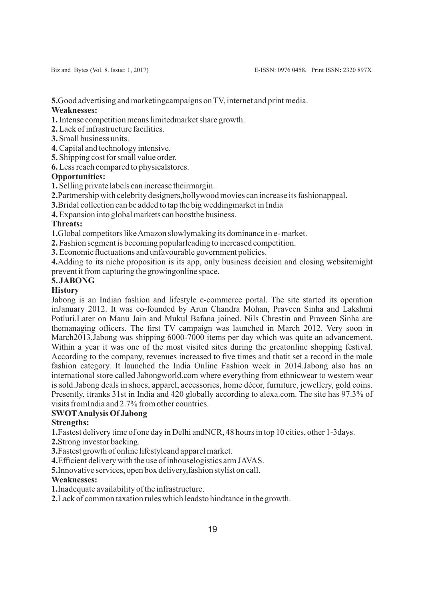**5.**Good advertising and marketingcampaigns on TV, internet and print media.

## **Weaknesses:**

**1.**Intense competition means limitedmarket share growth.

**2.**Lack of infrastructure facilities.

- **3.** Small business units.
- **4.**Capital and technology intensive.

**5.** Shipping cost for small value order.

**6.**Less reach compared to physicalstores.

## **Opportunities:**

**1.** Selling private labels can increase theirmargin.

- **2.**Partmership with celebrity designers,bollywood movies can increase its fashionappeal.
- **3.**Bridal collection can be added to tap the big weddingmarket in India

**4.**Expansion into global markets can boostthe business.

## **Threats:**

**1.**Global competitors like Amazon slowlymaking its dominance in e- market.

**2.** Fashion segment is becoming popularleading to increased competition.

**3.**Economic fluctuations and unfavourable government policies.

**4.**Adding to its niche proposition is its app, only business decision and closing websitemight prevent it from capturing the growingonline space.

## **5. JABONG**

## **History**

Jabong is an Indian fashion and lifestyle e-commerce portal. The site started its operation inJanuary 2012. It was co-founded by Arun Chandra Mohan, Praveen Sinha and Lakshmi Potluri.Later on Manu Jain and Mukul Bafana joined. Nils Chrestin and Praveen Sinha are themanaging officers. The first TV campaign was launched in March 2012. Very soon in March2013,Jabong was shipping 6000-7000 items per day which was quite an advancement. Within a year it was one of the most visited sites during the greatonline shopping festival. According to the company, revenues increased to five times and thatit set a record in the male fashion category. It launched the India Online Fashion week in 2014.Jabong also has an international store called Jabongworld.com where everything from ethnicwear to western wear is sold.Jabong deals in shoes, apparel, accessories, home décor, furniture, jewellery, gold coins. Presently, itranks 31st in India and 420 globally according to alexa.com. The site has 97.3% of visits fromIndia and 2.7% from other countries.

## **SWOTAnalysis Of Jabong**

## **Strengths:**

**1.**Fastest delivery time of one day in Delhi andNCR, 48 hours in top 10 cities, other 1-3days.

**2.**Strong investor backing.

**3.**Fastest growth of online lifestyleand apparel market.

**4.**Efficient delivery with the use of inhouselogistics arm JAVAS.

**5.**Innovative services, open box delivery,fashion stylist on call.

### **Weaknesses:**

**1.**Inadequate availability of the infrastructure.

**2.**Lack of common taxation rules which leadsto hindrance in the growth.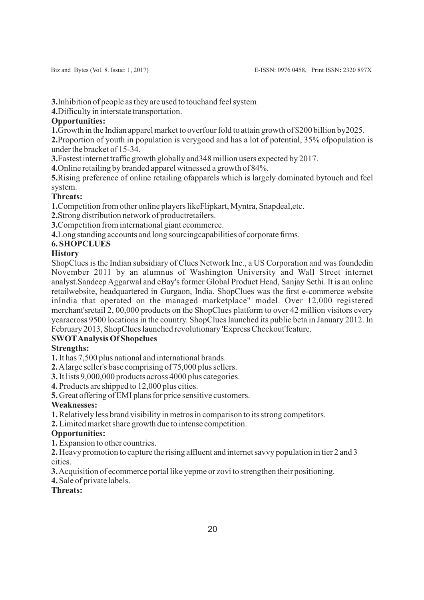**3.**Inhibition of people as they are used to touchand feel system

**4.**Difficulty in interstate transportation.

## **Opportunities:**

**1.**Growth in the Indian apparel market to overfour fold to attain growth of \$200 billion by2025.

**2.**Proportion of youth in population is verygood and has a lot of potential, 35% ofpopulation is under the bracket of 15-34.

**3.**Fastest internet traffic growth globally and348 million users expected by 2017.

**4.**Online retailing by branded apparel witnessed a growth of 84%.

**5.**Rising preference of online retailing ofapparels which is largely dominated bytouch and feel system.

## **Threats:**

**1.**Competition from other online players likeFlipkart, Myntra, Snapdeal,etc.

**2.**Strong distribution network of productretailers.

**3.**Competition from international giant ecommerce.

**4.**Long standing accounts and long sourcingcapabilities of corporate firms.

## **6. SHOPCLUES**

## **History**

ShopClues is the Indian subsidiary of Clues Network Inc., a US Corporation and was foundedin November 2011 by an alumnus of Washington University and Wall Street internet analyst.Sandeep Aggarwal and eBay's former Global Product Head, Sanjay Sethi. It is an online retailwebsite, headquartered in Gurgaon, India. ShopClues was the first e-commerce website inIndia that operated on the managed marketplace'' model. Over 12,000 registered merchant'sretail 2, 00,000 products on the ShopClues platform to over 42 million visitors every yearacross 9500 locations in the country. ShopClues launched its public beta in January 2012. In February 2013, ShopClues launched revolutionary 'Express Checkout'feature.

# **SWOTAnalysis Of Shopclues**

## **Strengths:**

**1.**It has 7,500 plus national and international brands.

**2.**Alarge seller's base comprising of 75,000 plus sellers.

**3.**It lists 9,000,000 products across 4000 plus categories.

**4.** Products are shipped to 12,000 plus cities.

**5.** Great offering of EMI plans for price sensitive customers.

## **Weaknesses:**

**1.**Relatively less brand visibility in metros in comparison to its strong competitors.

**2.**Limited market share growth due to intense competition.

## **Opportunities:**

**1.**Expansion to other countries.

**2.** Heavy promotion to capture the rising affluent and internet savvy population in tier 2 and 3 cities.

**3.**Acquisition of ecommerce portal like yepme or zovi to strengthen their positioning.

### **4.** Sale of private labels.

### **Threats:**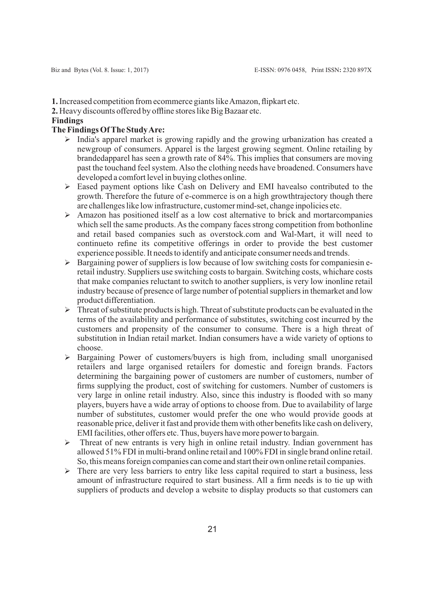**1.**Increased competition from ecommerce giants like Amazon, flipkart etc.

**2.** Heavy discounts offered by offline stores like Big Bazaar etc.

#### **Findings**

### **The Findings Of The Study Are:**

- $\triangleright$  India's apparel market is growing rapidly and the growing urbanization has created a newgroup of consumers. Apparel is the largest growing segment. Online retailing by brandedapparel has seen a growth rate of 84%. This implies that consumers are moving past the touchand feel system. Also the clothing needs have broadened. Consumers have developed a comfort level in buying clothes online.
- $\triangleright$  Eased payment options like Cash on Delivery and EMI havealso contributed to the growth. Therefore the future of e-commerce is on a high growthtrajectory though there are challenges like low infrastructure, customer mind-set, change inpolicies etc.
- $\triangleright$  Amazon has positioned itself as a low cost alternative to brick and mortarcompanies which sell the same products. As the company faces strong competition from bothonline and retail based companies such as overstock.com and Wal-Mart, it will need to continueto refine its competitive offerings in order to provide the best customer experience possible. It needs to identify and anticipate consumer needs and trends.
- $\triangleright$  Bargaining power of suppliers is low because of low switching costs for companiesin eretail industry. Suppliers use switching costs to bargain. Switching costs, whichare costs that make companies reluctant to switch to another suppliers, is very low inonline retail industry because of presence of large number of potential suppliers in themarket and low product differentiation.
- $\triangleright$  Threat of substitute products is high. Threat of substitute products can be evaluated in the terms of the availability and performance of substitutes, switching cost incurred by the customers and propensity of the consumer to consume. There is a high threat of substitution in Indian retail market. Indian consumers have a wide variety of options to choose.
- $\triangleright$  Bargaining Power of customers/buyers is high from, including small unorganised retailers and large organised retailers for domestic and foreign brands. Factors determining the bargaining power of customers are number of customers, number of firms supplying the product, cost of switching for customers. Number of customers is very large in online retail industry. Also, since this industry is flooded with so many players, buyers have a wide array of options to choose from. Due to availability of large number of substitutes, customer would prefer the one who would provide goods at reasonable price, deliver it fast and provide them with other benefits like cash on delivery, EMI facilities, other offers etc. Thus, buyers have more power to bargain.
- $\triangleright$  Threat of new entrants is very high in online retail industry. Indian government has allowed 51% FDI in multi-brand online retail and 100% FDI in single brand online retail. So, this means foreign companies can come and start their own online retail companies.
- $\triangleright$  There are very less barriers to entry like less capital required to start a business, less amount of infrastructure required to start business. All a firm needs is to tie up with suppliers of products and develop a website to display products so that customers can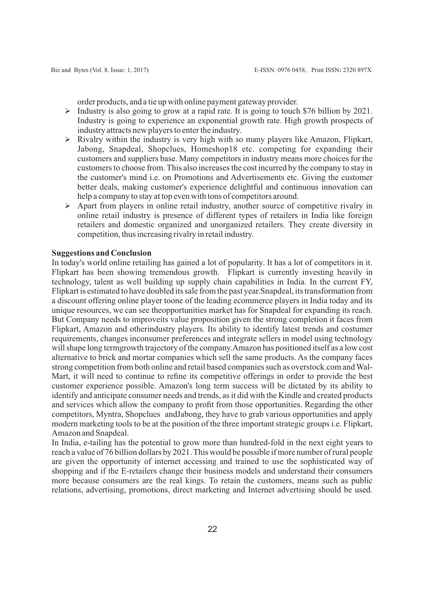order products, and a tie up with online payment gateway provider.

- $\triangleright$  Industry is also going to grow at a rapid rate. It is going to touch \$76 billion by 2021. Industry is going to experience an exponential growth rate. High growth prospects of industry attracts new players to enter the industry.
- $\triangleright$  Rivalry within the industry is very high with so many players like Amazon, Flipkart, Jabong, Snapdeal, Shopclues, Homeshop18 etc. competing for expanding their customers and suppliers base. Many competitors in industry means more choices for the customers to choose from. This also increases the cost incurred by the company to stay in the customer's mind i.e. on Promotions and Advertisements etc. Giving the customer better deals, making customer's experience delightful and continuous innovation can help a company to stay at top even with tons of competitors around.
- $\triangleright$  Apart from players in online retail industry, another source of competitive rivalry in online retail industry is presence of different types of retailers in India like foreign retailers and domestic organized and unorganized retailers. They create diversity in competition, thus increasing rivalry in retail industry.

### **Suggestions and Conclusion**

In today's world online retailing has gained a lot of popularity. It has a lot of competitors in it. Flipkart has been showing tremendous growth. Flipkart is currently investing heavily in technology, talent as well building up supply chain capabilities in India. In the current FY, Flipkart is estimated to have doubled its sale from the past year.Snapdeal, its transformation from a discount offering online player toone of the leading ecommerce players in India today and its unique resources, we can see theopportunities market has for Snapdeal for expanding its reach. But Company needs to improveits value proposition given the strong completion it faces from Flipkart, Amazon and otherindustry players. Its ability to identify latest trends and costumer requirements, changes inconsumer preferences and integrate sellers in model using technology will shape long termgrowth trajectory of the company.Amazon has positioned itself as a low cost alternative to brick and mortar companies which sell the same products. As the company faces strong competition from both online and retail based companies such as overstock.com and Wal-Mart, it will need to continue to refine its competitive offerings in order to provide the best customer experience possible. Amazon's long term success will be dictated by its ability to identify and anticipate consumer needs and trends, as it did with the Kindle and created products and services which allow the company to profit from those opportunities. Regarding the other competitors, Myntra, Shopclues andJabong, they have to grab various opportunities and apply modern marketing tools to be at the position of the three important strategic groups i.e. Flipkart, Amazon and Snapdeal.

In India, e-tailing has the potential to grow more than hundred-fold in the next eight years to reach a value of 76 billion dollars by 2021. This would be possible if more number of rural people are given the opportunity of internet accessing and trained to use the sophisticated way of shopping and if the E-retailers change their business models and understand their consumers more because consumers are the real kings. To retain the customers, means such as public relations, advertising, promotions, direct marketing and Internet advertising should be used.